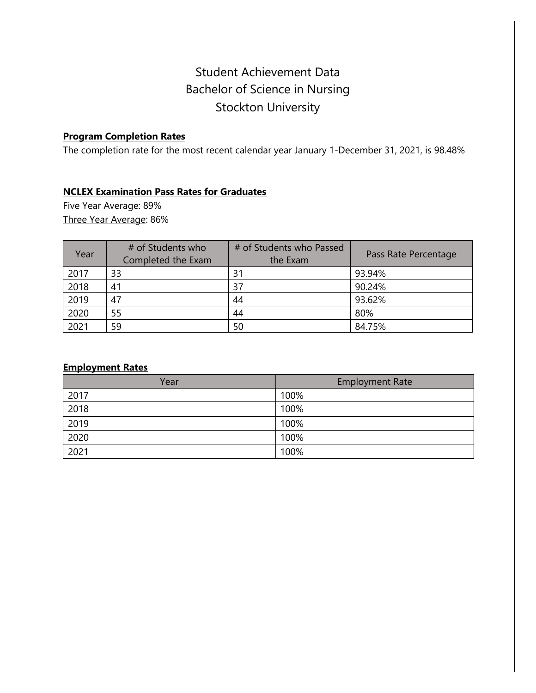# Student Achievement Data Bachelor of Science in Nursing Stockton University

## **Program Completion Rates**

The completion rate for the most recent calendar year January 1-December 31, 2021, is 98.48%

### **NCLEX Examination Pass Rates for Graduates**

Five Year Average: 89% Three Year Average: 86%

| Year | # of Students who<br>Completed the Exam | # of Students who Passed<br>the Exam | Pass Rate Percentage |
|------|-----------------------------------------|--------------------------------------|----------------------|
| 2017 | 33                                      | 31                                   | 93.94%               |
| 2018 | 41                                      | 37                                   | 90.24%               |
| 2019 | 47                                      | 44                                   | 93.62%               |
| 2020 | 55                                      | 44                                   | 80%                  |
| 2021 | 59                                      | 50                                   | 84.75%               |

### **Employment Rates**

| Year | <b>Employment Rate</b> |
|------|------------------------|
| 2017 | 100%                   |
| 2018 | 100%                   |
| 2019 | 100%                   |
| 2020 | 100%                   |
| 2021 | 100%                   |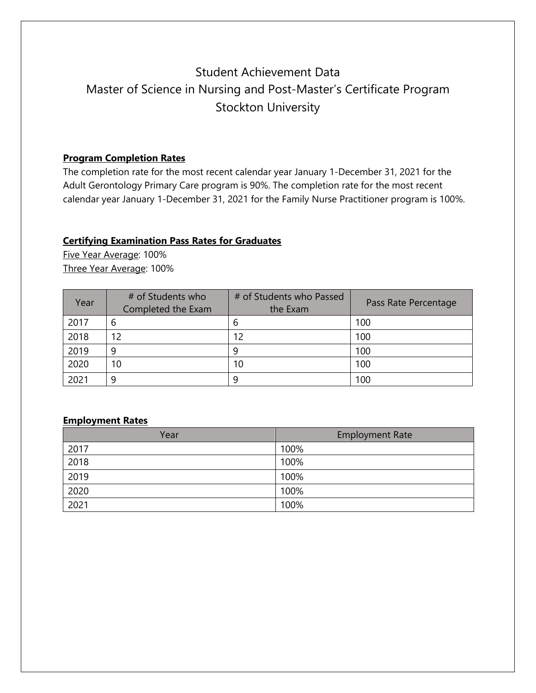## Student Achievement Data Master of Science in Nursing and Post-Master's Certificate Program Stockton University

### **Program Completion Rates**

The completion rate for the most recent calendar year January 1-December 31, 2021 for the Adult Gerontology Primary Care program is 90%. The completion rate for the most recent calendar year January 1-December 31, 2021 for the Family Nurse Practitioner program is 100%.

### **Certifying Examination Pass Rates for Graduates**

Five Year Average: 100% Three Year Average: 100%

| Year | # of Students who<br>Completed the Exam | # of Students who Passed<br>the Exam | Pass Rate Percentage |
|------|-----------------------------------------|--------------------------------------|----------------------|
| 2017 | b                                       | 6                                    | 100                  |
| 2018 | 12                                      | 12                                   | 100                  |
| 2019 | q                                       | q                                    | 100                  |
| 2020 | 10                                      | 10                                   | 100                  |
| 2021 | q                                       | q                                    | 100                  |

#### **Employment Rates**

| Year | <b>Employment Rate</b> |
|------|------------------------|
| 2017 | 100%                   |
| 2018 | 100%                   |
| 2019 | 100%                   |
| 2020 | 100%                   |
| 2021 | 100%                   |